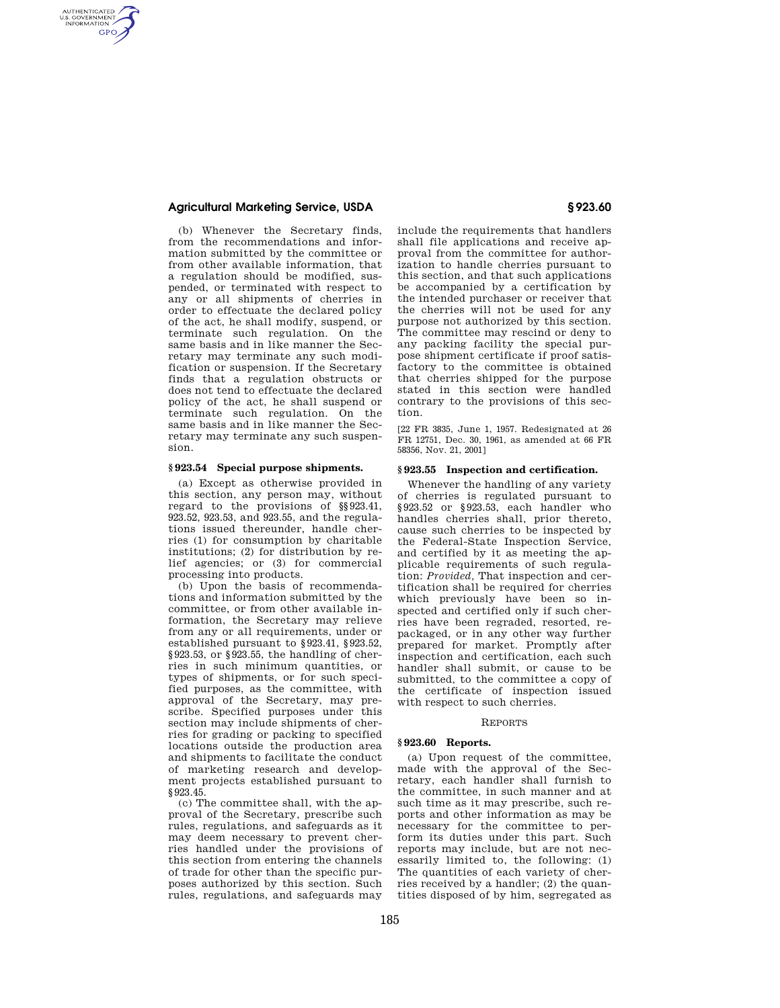## **Agricultural Marketing Service, USDA § 923.60**

AUTHENTICATED<br>U.S. GOVERNMENT<br>INFORMATION **GPO** 

> (b) Whenever the Secretary finds, from the recommendations and information submitted by the committee or from other available information, that a regulation should be modified, suspended, or terminated with respect to any or all shipments of cherries in order to effectuate the declared policy of the act, he shall modify, suspend, or terminate such regulation. On the same basis and in like manner the Secretary may terminate any such modification or suspension. If the Secretary finds that a regulation obstructs or does not tend to effectuate the declared policy of the act, he shall suspend or terminate such regulation. On the same basis and in like manner the Secretary may terminate any such suspension.

### **§ 923.54 Special purpose shipments.**

(a) Except as otherwise provided in this section, any person may, without regard to the provisions of §§923.41, 923.52, 923.53, and 923.55, and the regulations issued thereunder, handle cherries (1) for consumption by charitable institutions; (2) for distribution by relief agencies; or (3) for commercial processing into products.

(b) Upon the basis of recommendations and information submitted by the committee, or from other available information, the Secretary may relieve from any or all requirements, under or established pursuant to §923.41, §923.52, §923.53, or §923.55, the handling of cherries in such minimum quantities, or types of shipments, or for such specified purposes, as the committee, with approval of the Secretary, may prescribe. Specified purposes under this section may include shipments of cherries for grading or packing to specified locations outside the production area and shipments to facilitate the conduct of marketing research and development projects established pursuant to §923.45.

(c) The committee shall, with the approval of the Secretary, prescribe such rules, regulations, and safeguards as it may deem necessary to prevent cherries handled under the provisions of this section from entering the channels of trade for other than the specific purposes authorized by this section. Such rules, regulations, and safeguards may

include the requirements that handlers shall file applications and receive approval from the committee for authorization to handle cherries pursuant to this section, and that such applications be accompanied by a certification by the intended purchaser or receiver that the cherries will not be used for any purpose not authorized by this section. The committee may rescind or deny to any packing facility the special purpose shipment certificate if proof satisfactory to the committee is obtained that cherries shipped for the purpose stated in this section were handled contrary to the provisions of this section.

[22 FR 3835, June 1, 1957. Redesignated at 26 FR 12751, Dec. 30, 1961, as amended at 66 FR 58356, Nov. 21, 2001]

### **§ 923.55 Inspection and certification.**

Whenever the handling of any variety of cherries is regulated pursuant to §923.52 or §923.53, each handler who handles cherries shall, prior thereto, cause such cherries to be inspected by the Federal-State Inspection Service, and certified by it as meeting the applicable requirements of such regulation: *Provided,* That inspection and certification shall be required for cherries which previously have been so inspected and certified only if such cherries have been regraded, resorted, repackaged, or in any other way further prepared for market. Promptly after inspection and certification, each such handler shall submit, or cause to be submitted, to the committee a copy of the certificate of inspection issued with respect to such cherries.

#### REPORTS

## **§ 923.60 Reports.**

(a) Upon request of the committee, made with the approval of the Secretary, each handler shall furnish to the committee, in such manner and at such time as it may prescribe, such reports and other information as may be necessary for the committee to perform its duties under this part. Such reports may include, but are not necessarily limited to, the following: (1) The quantities of each variety of cherries received by a handler; (2) the quantities disposed of by him, segregated as